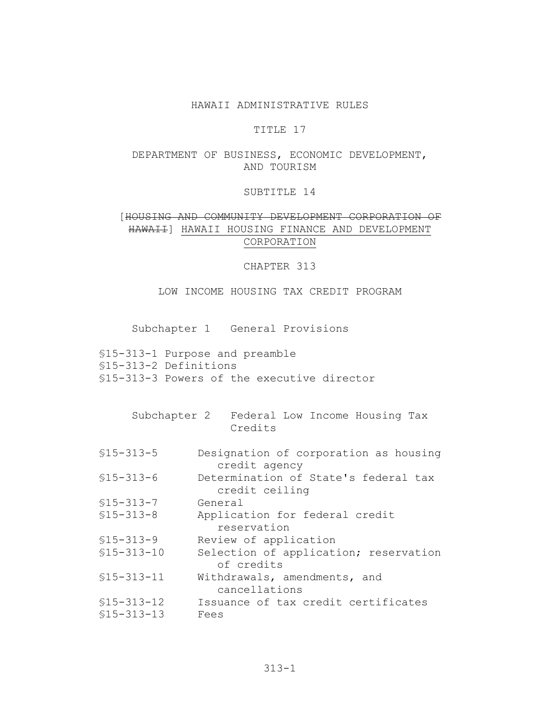## HAWAII ADMINISTRATIVE RULES

### TITLE 17

# DEPARTMENT OF BUSINESS, ECONOMIC DEVELOPMENT, AND TOURISM

### SUBTITLE 14

# [HOUSING AND COMMUNITY DEVELOPMENT CORPORATION OF HAWAII] HAWAII HOUSING FINANCE AND DEVELOPMENT CORPORATION

CHAPTER 313

LOW INCOME HOUSING TAX CREDIT PROGRAM

Subchapter 1 General Provisions

- \$15-313-1 Purpose and preamble \$15-313-2 Definitions \$15-313-3 Powers of the executive director
	- Subchapter 2 Federal Low Income Housing Tax Credits
- $$15 313 5$ Designation of corporation as housing credit agency Determination of State's federal tax
- $$15 313 6$ credit ceiling
- $$15 313 7$ General
- Application for federal credit  $$15 - 313 - 8$ reservation
- Review of application  $$15 - 313 - 9$
- $$15-313-10$ Selection of application; reservation of credits
- $$15-313-11$ Withdrawals, amendments, and cancellations Issuance of tax credit certificates  $$15-313-12$
- $$15 313 13$ Fees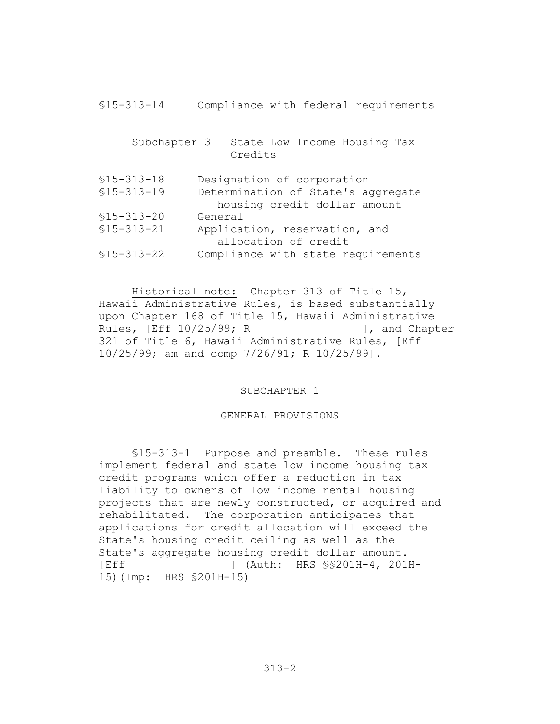| $$15 - 313 - 14$                 | Compliance with federal requirements                                                             |
|----------------------------------|--------------------------------------------------------------------------------------------------|
| Subchapter 3                     | State Low Income Housing Tax<br>Credits                                                          |
| $$15 - 313 - 18$<br>$$15-313-19$ | Designation of corporation<br>Determination of State's aggregate<br>housing credit dollar amount |
| $$15 - 313 - 20$                 | General                                                                                          |
| $$15 - 313 - 21$                 | Application, reservation, and                                                                    |
|                                  | allocation of credit                                                                             |
| $$15 - 313 - 22$                 | Compliance with state requirements                                                               |

Historical note: Chapter 313 of Title 15, Hawaii Administrative Rules, is based substantially upon Chapter 168 of Title 15, Hawaii Administrative Rules, [Eff 10/25/99; R 1, and Chapter 321 of Title 6, Hawaii Administrative Rules, [Eff 10/25/99; am and comp 7/26/91; R 10/25/99].

SUBCHAPTER 1

#### GENERAL PROVISIONS

\$15-313-1 Purpose and preamble. These rules implement federal and state low income housing tax credit programs which offer a reduction in tax liability to owners of low income rental housing projects that are newly constructed, or acquired and rehabilitated. The corporation anticipates that applications for credit allocation will exceed the State's housing credit ceiling as well as the State's aggregate housing credit dollar amount. **IEff** 1 (Auth: HRS \$\$201H-4, 201H-15) (Imp: HRS \$201H-15)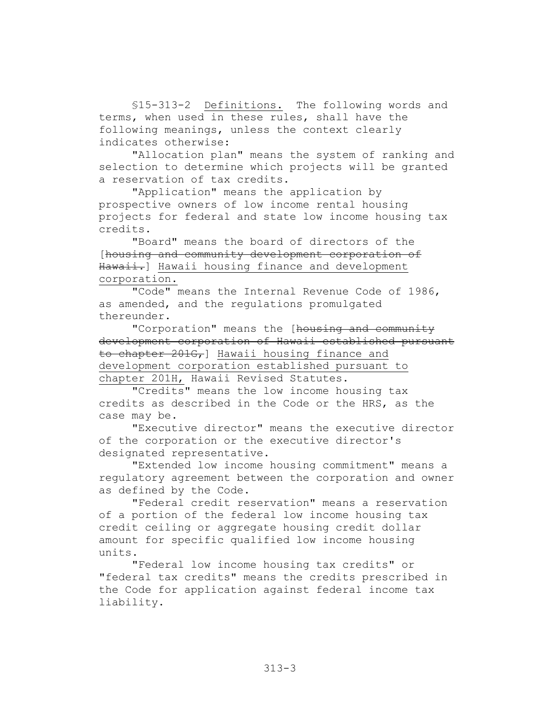\$15-313-2 Definitions. The following words and terms, when used in these rules, shall have the following meanings, unless the context clearly indicates otherwise:

"Allocation plan" means the system of ranking and selection to determine which projects will be granted a reservation of tax credits.

"Application" means the application by prospective owners of low income rental housing projects for federal and state low income housing tax credits.

"Board" means the board of directors of the [housing and community development corporation of Hawaii.] Hawaii housing finance and development corporation.

"Code" means the Internal Revenue Code of 1986, as amended, and the regulations promulgated thereunder.

"Corporation" means the [housing and community development corporation of Hawaii established pursuant to chapter 2016, Hawaii housing finance and development corporation established pursuant to chapter 201H, Hawaii Revised Statutes.

"Credits" means the low income housing tax credits as described in the Code or the HRS, as the case may be.

"Executive director" means the executive director of the corporation or the executive director's designated representative.

"Extended low income housing commitment" means a regulatory agreement between the corporation and owner as defined by the Code.

"Federal credit reservation" means a reservation of a portion of the federal low income housing tax credit ceiling or aggregate housing credit dollar amount for specific qualified low income housing units.

"Federal low income housing tax credits" or "federal tax credits" means the credits prescribed in the Code for application against federal income tax liability.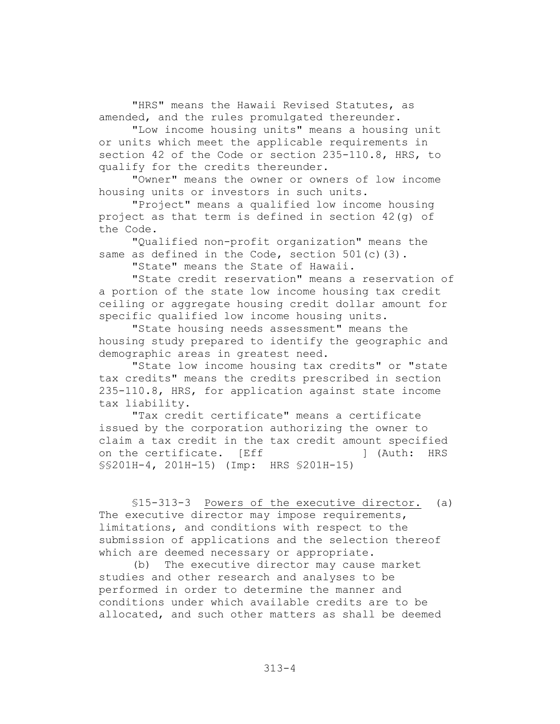"HRS" means the Hawaii Revised Statutes, as amended, and the rules promulgated thereunder.

"Low income housing units" means a housing unit or units which meet the applicable requirements in section 42 of the Code or section 235-110.8, HRS, to qualify for the credits thereunder.

"Owner" means the owner or owners of low income housing units or investors in such units.

"Project" means a qualified low income housing project as that term is defined in section 42(q) of the Code.

"Qualified non-profit organization" means the same as defined in the Code, section  $501(c)$  (3).

"State" means the State of Hawaii.

"State credit reservation" means a reservation of a portion of the state low income housing tax credit ceiling or aggregate housing credit dollar amount for specific qualified low income housing units.

"State housing needs assessment" means the housing study prepared to identify the geographic and demographic areas in greatest need.

"State low income housing tax credits" or "state tax credits" means the credits prescribed in section 235-110.8, HRS, for application against state income tax liability.

"Tax credit certificate" means a certificate issued by the corporation authorizing the owner to claim a tax credit in the tax credit amount specified on the certificate. [Eff 1 (Auth: HRS \$\$201H-4, 201H-15) (Imp: HRS \$201H-15)

\$15-313-3 Powers of the executive director. (a) The executive director may impose requirements, limitations, and conditions with respect to the submission of applications and the selection thereof which are deemed necessary or appropriate.

(b) The executive director may cause market studies and other research and analyses to be performed in order to determine the manner and conditions under which available credits are to be allocated, and such other matters as shall be deemed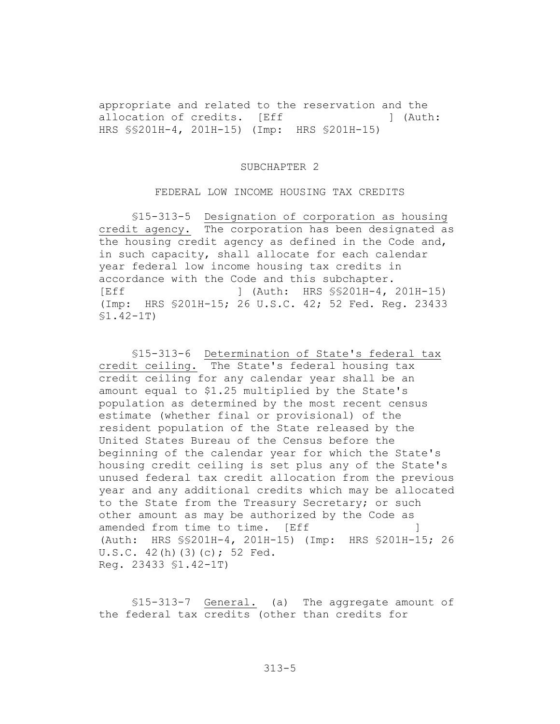appropriate and related to the reservation and the allocation of credits. [Eff 1 (Auth: HRS \$\$201H-4, 201H-15) (Imp: HRS \$201H-15)

#### SUBCHAPTER 2

### FEDERAL LOW INCOME HOUSING TAX CREDITS

\$15-313-5 Designation of corporation as housing credit agency. The corporation has been designated as the housing credit agency as defined in the Code and, in such capacity, shall allocate for each calendar year federal low income housing tax credits in accordance with the Code and this subchapter. [Eff ] (Auth: HRS \$\$201H-4, 201H-15) (Imp: HRS \$201H-15; 26 U.S.C. 42; 52 Fed. Req. 23433)  $$1.42-1T)$ 

\$15-313-6 Determination of State's federal tax credit ceiling. The State's federal housing tax credit ceiling for any calendar year shall be an amount equal to \$1.25 multiplied by the State's population as determined by the most recent census estimate (whether final or provisional) of the resident population of the State released by the United States Bureau of the Census before the beginning of the calendar year for which the State's housing credit ceiling is set plus any of the State's unused federal tax credit allocation from the previous year and any additional credits which may be allocated to the State from the Treasury Secretary; or such other amount as may be authorized by the Code as amended from time to time. [Eff -1 (Auth: HRS \$\$201H-4, 201H-15) (Imp: HRS \$201H-15; 26  $U.S.C. 42(h) (3) (c); 52 Fed.$ Req. 23433 \$1.42-1T)

\$15-313-7 General. (a) The aggregate amount of the federal tax credits (other than credits for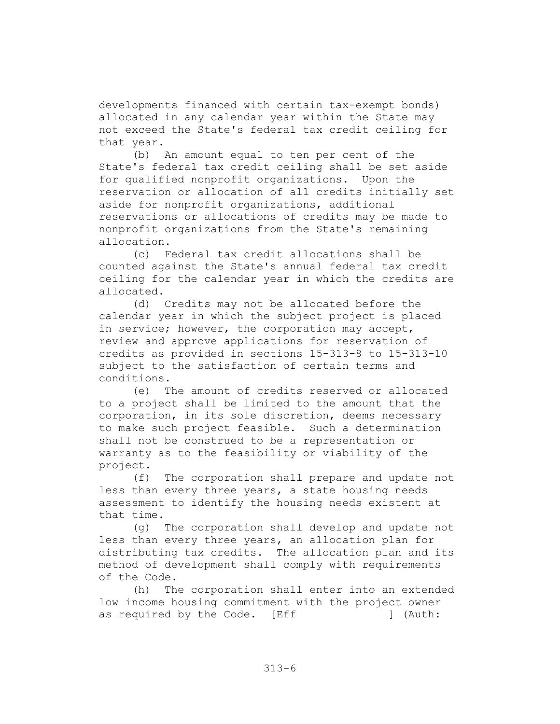developments financed with certain tax-exempt bonds) allocated in any calendar year within the State may not exceed the State's federal tax credit ceiling for that vear.

 $(b)$ An amount equal to ten per cent of the State's federal tax credit ceiling shall be set aside for qualified nonprofit organizations. Upon the reservation or allocation of all credits initially set aside for nonprofit organizations, additional reservations or allocations of credits may be made to nonprofit organizations from the State's remaining allocation.

(c) Federal tax credit allocations shall be counted against the State's annual federal tax credit ceiling for the calendar year in which the credits are allocated.

Credits may not be allocated before the  $(d)$ calendar year in which the subject project is placed in service; however, the corporation may accept, review and approve applications for reservation of credits as provided in sections 15-313-8 to 15-313-10 subject to the satisfaction of certain terms and conditions.

 $(e)$ The amount of credits reserved or allocated to a project shall be limited to the amount that the corporation, in its sole discretion, deems necessary to make such project feasible. Such a determination shall not be construed to be a representation or warranty as to the feasibility or viability of the project.

 $(f)$ The corporation shall prepare and update not less than every three years, a state housing needs assessment to identify the housing needs existent at that time.

The corporation shall develop and update not  $(q)$ less than every three years, an allocation plan for distributing tax credits. The allocation plan and its method of development shall comply with requirements of the Code.

The corporation shall enter into an extended  $(h)$ low income housing commitment with the project owner ] (Auth: as required by the Code. [Eff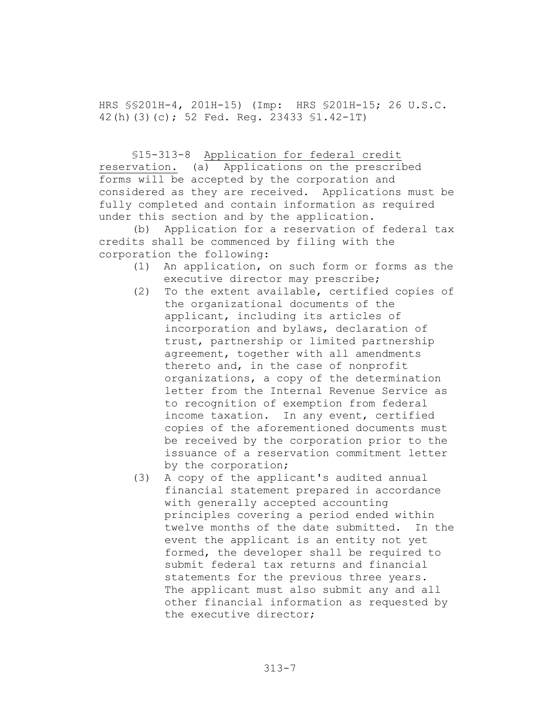HRS \$\$201H-4, 201H-15) (Imp: HRS \$201H-15; 26 U.S.C. 42(h)(3)(c); 52 Fed. Req. 23433 \$1.42-1T)

### \$15-313-8 Application for federal credit

reservation. (a) Applications on the prescribed forms will be accepted by the corporation and considered as they are received. Applications must be fully completed and contain information as required under this section and by the application.

(b) Application for a reservation of federal tax credits shall be commenced by filing with the corporation the following:

- (1) An application, on such form or forms as the executive director may prescribe;
- To the extent available, certified copies of  $(2)$ the organizational documents of the applicant, including its articles of incorporation and bylaws, declaration of trust, partnership or limited partnership agreement, together with all amendments thereto and, in the case of nonprofit organizations, a copy of the determination letter from the Internal Revenue Service as to recognition of exemption from federal income taxation. In any event, certified copies of the aforementioned documents must be received by the corporation prior to the issuance of a reservation commitment letter by the corporation;
- A copy of the applicant's audited annual  $(3)$ financial statement prepared in accordance with generally accepted accounting principles covering a period ended within twelve months of the date submitted. In the event the applicant is an entity not yet formed, the developer shall be required to submit federal tax returns and financial statements for the previous three years. The applicant must also submit any and all other financial information as requested by the executive director;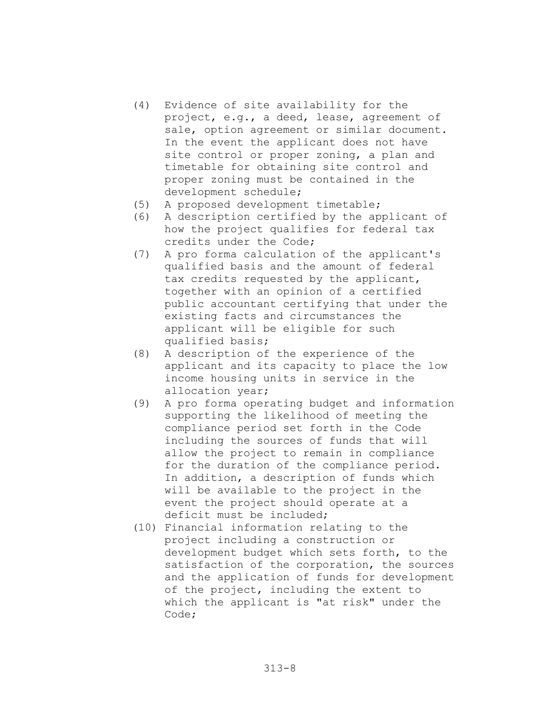- (4) Evidence of site availability for the project, e.g., a deed, lease, agreement of sale, option agreement or similar document. In the event the applicant does not have site control or proper zoning, a plan and timetable for obtaining site control and proper zoning must be contained in the development schedule;
- A proposed development timetable;  $(5)$
- A description certified by the applicant of  $(6)$ how the project qualifies for federal tax credits under the Code;
- (7) A pro forma calculation of the applicant's qualified basis and the amount of federal tax credits requested by the applicant, together with an opinion of a certified public accountant certifying that under the existing facts and circumstances the applicant will be eligible for such qualified basis;
- (8) A description of the experience of the applicant and its capacity to place the low income housing units in service in the allocation year;
- $(9)$ A pro forma operating budget and information supporting the likelihood of meeting the compliance period set forth in the Code including the sources of funds that will allow the project to remain in compliance for the duration of the compliance period. In addition, a description of funds which will be available to the project in the event the project should operate at a deficit must be included;
- (10) Financial information relating to the project including a construction or development budget which sets forth, to the satisfaction of the corporation, the sources and the application of funds for development of the project, including the extent to which the applicant is "at risk" under the Code;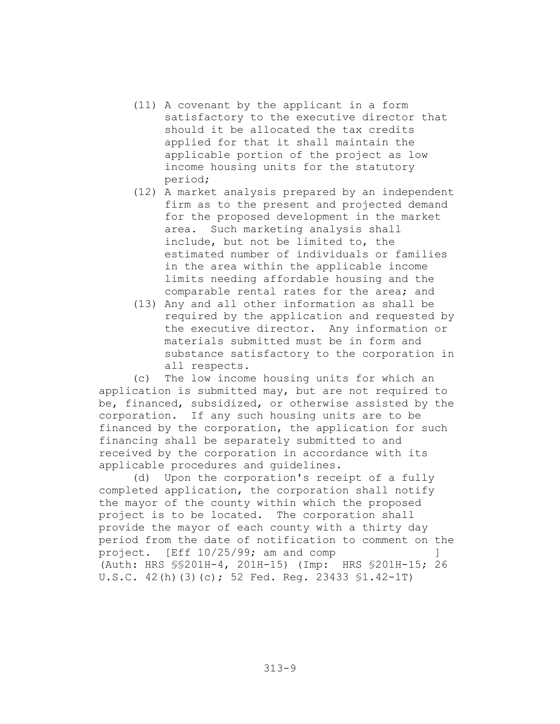- (11) A covenant by the applicant in a form satisfactory to the executive director that should it be allocated the tax credits applied for that it shall maintain the applicable portion of the project as low income housing units for the statutory period;
- (12) A market analysis prepared by an independent firm as to the present and projected demand for the proposed development in the market area. Such marketing analysis shall include, but not be limited to, the estimated number of individuals or families in the area within the applicable income limits needing affordable housing and the comparable rental rates for the area; and
- (13) Any and all other information as shall be required by the application and requested by the executive director. Any information or materials submitted must be in form and substance satisfactory to the corporation in all respects.

The low income housing units for which an  $(C)$ application is submitted may, but are not required to be, financed, subsidized, or otherwise assisted by the corporation. If any such housing units are to be financed by the corporation, the application for such financing shall be separately submitted to and received by the corporation in accordance with its applicable procedures and quidelines.

(d) Upon the corporation's receipt of a fully completed application, the corporation shall notify the mayor of the county within which the proposed project is to be located. The corporation shall provide the mayor of each county with a thirty day period from the date of notification to comment on the project. [Eff  $10/25/99$ ; am and comp (Auth: HRS \$\$201H-4, 201H-15) (Imp: HRS \$201H-15; 26 U.S.C. 42(h)(3)(c); 52 Fed. Reg. 23433 \$1.42-1T)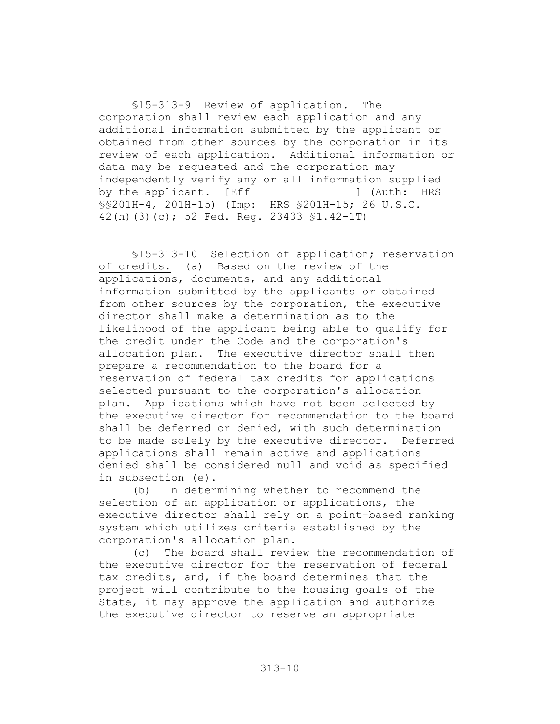\$15-313-9 Review of application. The corporation shall review each application and any additional information submitted by the applicant or obtained from other sources by the corporation in its review of each application. Additional information or data may be requested and the corporation may independently verify any or all information supplied by the applicant. [Eff ] (Auth: HRS \$\$201H-4, 201H-15) (Imp: HRS \$201H-15; 26 U.S.C. 42(h)(3)(c); 52 Fed. Req. 23433 \$1.42-1T)

\$15-313-10 Selection of application; reservation of credits. (a) Based on the review of the applications, documents, and any additional information submitted by the applicants or obtained from other sources by the corporation, the executive director shall make a determination as to the likelihood of the applicant being able to qualify for the credit under the Code and the corporation's allocation plan. The executive director shall then prepare a recommendation to the board for a reservation of federal tax credits for applications selected pursuant to the corporation's allocation plan. Applications which have not been selected by the executive director for recommendation to the board shall be deferred or denied, with such determination to be made solely by the executive director. Deferred applications shall remain active and applications denied shall be considered null and void as specified in subsection (e).

(b) In determining whether to recommend the selection of an application or applications, the executive director shall rely on a point-based ranking system which utilizes criteria established by the corporation's allocation plan.

 $(C)$ The board shall review the recommendation of the executive director for the reservation of federal tax credits, and, if the board determines that the project will contribute to the housing goals of the State, it may approve the application and authorize the executive director to reserve an appropriate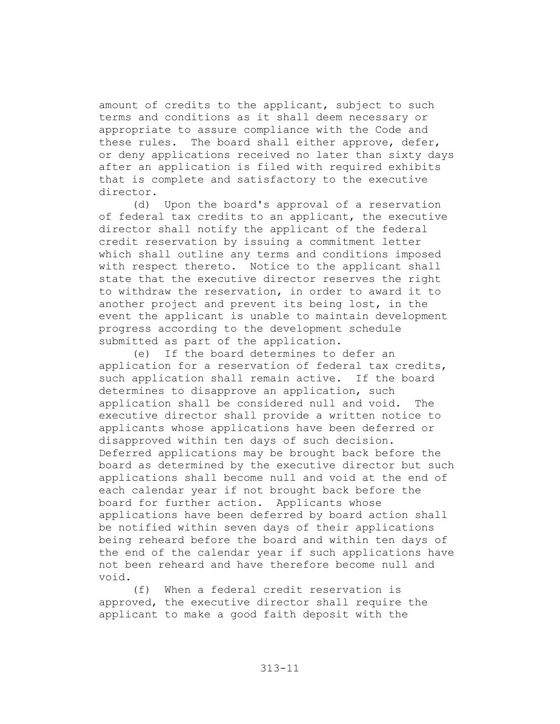amount of credits to the applicant, subject to such terms and conditions as it shall deem necessary or appropriate to assure compliance with the Code and these rules. The board shall either approve, defer, or deny applications received no later than sixty days after an application is filed with required exhibits that is complete and satisfactory to the executive director.

Upon the board's approval of a reservation  $(d)$ of federal tax credits to an applicant, the executive director shall notify the applicant of the federal credit reservation by issuing a commitment letter which shall outline any terms and conditions imposed with respect thereto. Notice to the applicant shall state that the executive director reserves the right to withdraw the reservation, in order to award it to another project and prevent its being lost, in the event the applicant is unable to maintain development progress according to the development schedule submitted as part of the application.

(e) If the board determines to defer an application for a reservation of federal tax credits, such application shall remain active. If the board determines to disapprove an application, such application shall be considered null and void. The executive director shall provide a written notice to applicants whose applications have been deferred or disapproved within ten days of such decision. Deferred applications may be brought back before the board as determined by the executive director but such applications shall become null and void at the end of each calendar year if not brought back before the board for further action. Applicants whose applications have been deferred by board action shall be notified within seven days of their applications being reheard before the board and within ten days of the end of the calendar year if such applications have not been reheard and have therefore become null and void.

 $(f)$ When a federal credit reservation is approved, the executive director shall require the applicant to make a good faith deposit with the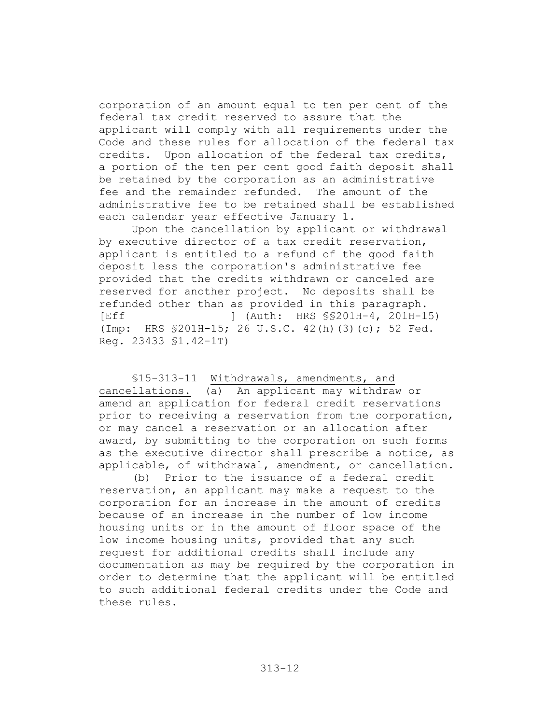corporation of an amount equal to ten per cent of the federal tax credit reserved to assure that the applicant will comply with all requirements under the Code and these rules for allocation of the federal tax credits. Upon allocation of the federal tax credits, a portion of the ten per cent good faith deposit shall be retained by the corporation as an administrative fee and the remainder refunded. The amount of the administrative fee to be retained shall be established each calendar year effective January 1.

Upon the cancellation by applicant or withdrawal by executive director of a tax credit reservation, applicant is entitled to a refund of the good faith deposit less the corporation's administrative fee provided that the credits withdrawn or canceled are reserved for another project. No deposits shall be refunded other than as provided in this paragraph. **IEff** 1 (Auth: HRS \$\$201H-4, 201H-15) (Imp: HRS \$201H-15; 26 U.S.C. 42(h)(3)(c); 52 Fed. Req. 23433 \$1.42-1T)

\$15-313-11 Withdrawals, amendments, and cancellations. (a) An applicant may withdraw or amend an application for federal credit reservations prior to receiving a reservation from the corporation, or may cancel a reservation or an allocation after award, by submitting to the corporation on such forms as the executive director shall prescribe a notice, as applicable, of withdrawal, amendment, or cancellation.

(b) Prior to the issuance of a federal credit reservation, an applicant may make a request to the corporation for an increase in the amount of credits because of an increase in the number of low income housing units or in the amount of floor space of the low income housing units, provided that any such request for additional credits shall include any documentation as may be required by the corporation in order to determine that the applicant will be entitled to such additional federal credits under the Code and these rules.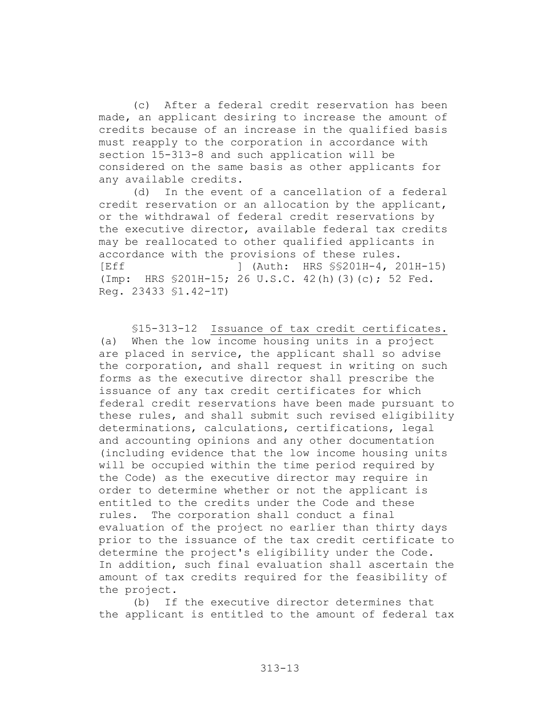After a federal credit reservation has been  $(C)$ made, an applicant desiring to increase the amount of credits because of an increase in the qualified basis must reapply to the corporation in accordance with section 15-313-8 and such application will be considered on the same basis as other applicants for any available credits.

(d) In the event of a cancellation of a federal credit reservation or an allocation by the applicant, or the withdrawal of federal credit reservations by the executive director, available federal tax credits may be reallocated to other qualified applicants in accordance with the provisions of these rules. **IEff** ] (Auth: HRS \$\$201H-4, 201H-15) (Imp: HRS \$201H-15; 26 U.S.C. 42(h)(3)(c); 52 Fed. Req. 23433 \$1.42-1T)

\$15-313-12 Issuance of tax credit certificates. When the low income housing units in a project  $(a)$ are placed in service, the applicant shall so advise the corporation, and shall request in writing on such forms as the executive director shall prescribe the issuance of any tax credit certificates for which federal credit reservations have been made pursuant to these rules, and shall submit such revised eligibility determinations, calculations, certifications, legal and accounting opinions and any other documentation (including evidence that the low income housing units will be occupied within the time period required by the Code) as the executive director may require in order to determine whether or not the applicant is entitled to the credits under the Code and these rules. The corporation shall conduct a final evaluation of the project no earlier than thirty days prior to the issuance of the tax credit certificate to determine the project's eligibility under the Code. In addition, such final evaluation shall ascertain the amount of tax credits required for the feasibility of the project.

 $(b)$ If the executive director determines that the applicant is entitled to the amount of federal tax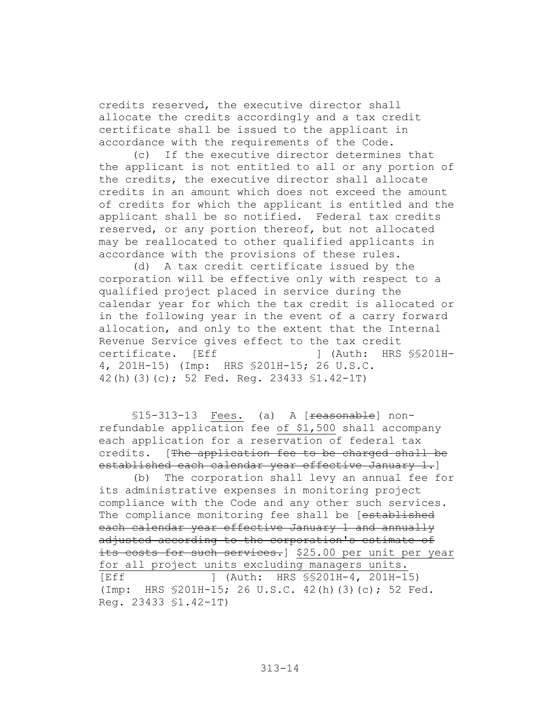credits reserved, the executive director shall allocate the credits accordingly and a tax credit certificate shall be issued to the applicant in accordance with the requirements of the Code.

If the executive director determines that  $(C)$ the applicant is not entitled to all or any portion of the credits, the executive director shall allocate credits in an amount which does not exceed the amount of credits for which the applicant is entitled and the applicant shall be so notified. Federal tax credits reserved, or any portion thereof, but not allocated may be reallocated to other qualified applicants in accordance with the provisions of these rules.

(d) A tax credit certificate issued by the corporation will be effective only with respect to a qualified project placed in service during the calendar year for which the tax credit is allocated or in the following year in the event of a carry forward allocation, and only to the extent that the Internal Revenue Service gives effect to the tax credit certificate. [Eff 1 (Auth: HRS \$\$201H-4, 201H-15) (Imp: HRS \$201H-15; 26 U.S.C. 42(h)(3)(c); 52 Fed. Req. 23433 \$1.42-1T)

\$15-313-13 Fees. (a) A [reasonable] nonrefundable application fee of \$1,500 shall accompany each application for a reservation of federal tax credits. [The application fee to be charged shall be established each calendar vear effective January 1.

The corporation shall levy an annual fee for  $(b)$ its administrative expenses in monitoring project compliance with the Code and any other such services. The compliance monitoring fee shall be [established each calendar year effective January 1 and annually adjusted according to the corporation's estimate of its costs for such services.] \$25.00 per unit per year for all project units excluding managers units. 「Eff ] (Auth: HRS \$\$201H-4, 201H-15) (Imp: HRS \$201H-15; 26 U.S.C. 42(h)(3)(c); 52 Fed. Reg. 23433 \$1.42-1T)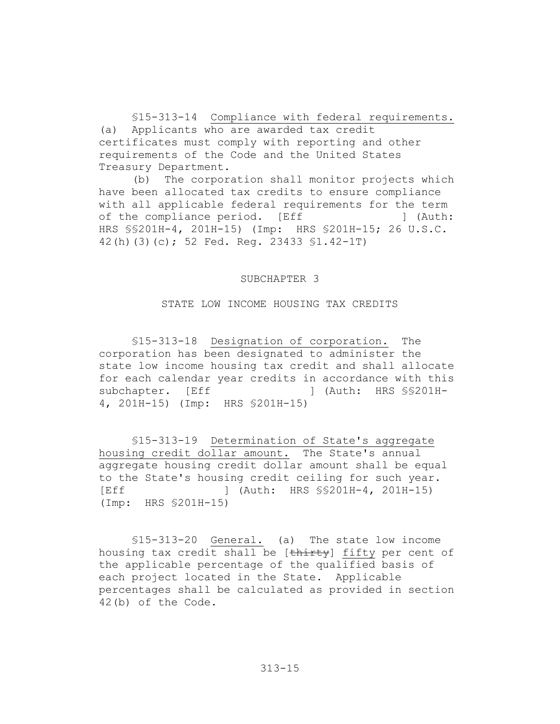\$15-313-14 Compliance with federal requirements. (a) Applicants who are awarded tax credit certificates must comply with reporting and other requirements of the Code and the United States Treasury Department.

(b) The corporation shall monitor projects which have been allocated tax credits to ensure compliance with all applicable federal requirements for the term of the compliance period. [Eff ] (Auth: HRS \$\$201H-4, 201H-15) (Imp: HRS \$201H-15; 26 U.S.C. 42(h)(3)(c); 52 Fed. Reg. 23433 \$1.42-1T)

#### SUBCHAPTER 3

#### STATE LOW INCOME HOUSING TAX CREDITS

\$15-313-18 Designation of corporation. The corporation has been designated to administer the state low income housing tax credit and shall allocate for each calendar year credits in accordance with this subchapter. [Eff ] (Auth: HRS SS201H-4, 201H-15) (Imp: HRS \$201H-15)

\$15-313-19 Determination of State's aggregate housing credit dollar amount. The State's annual aggregate housing credit dollar amount shall be equal to the State's housing credit ceiling for such year.  $F = F$ J (Auth: HRS \$\$201H-4, 201H-15) (Imp: HRS \$201H-15)

\$15-313-20 General. (a) The state low income housing tax credit shall be [thirty] fifty per cent of the applicable percentage of the qualified basis of each project located in the State. Applicable percentages shall be calculated as provided in section 42(b) of the Code.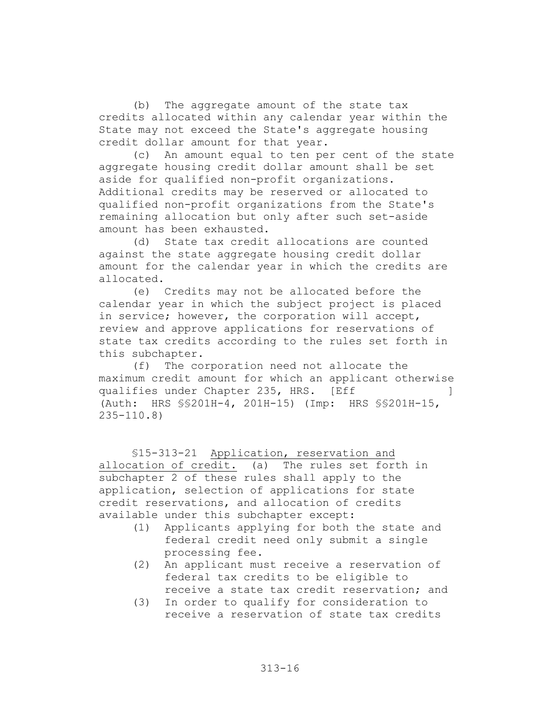The aggregate amount of the state tax  $(b)$ credits allocated within any calendar year within the State may not exceed the State's aggregate housing credit dollar amount for that year.

An amount equal to ten per cent of the state  $(C)$ aggregate housing credit dollar amount shall be set aside for qualified non-profit organizations. Additional credits may be reserved or allocated to qualified non-profit organizations from the State's remaining allocation but only after such set-aside amount has been exhausted.

State tax credit allocations are counted  $(d)$ against the state aggregate housing credit dollar amount for the calendar year in which the credits are allocated.

(e) Credits may not be allocated before the calendar year in which the subject project is placed in service; however, the corporation will accept, review and approve applications for reservations of state tax credits according to the rules set forth in this subchapter.

(f) The corporation need not allocate the maximum credit amount for which an applicant otherwise qualifies under Chapter 235, HRS. [Eff -1 (Auth: HRS \$\$201H-4, 201H-15) (Imp: HRS \$\$201H-15,  $235 - 110.8$ 

\$15-313-21 Application, reservation and allocation of credit. (a) The rules set forth in subchapter 2 of these rules shall apply to the application, selection of applications for state credit reservations, and allocation of credits available under this subchapter except:

- (1) Applicants applying for both the state and federal credit need only submit a single processing fee.
- (2) An applicant must receive a reservation of federal tax credits to be eligible to receive a state tax credit reservation; and
- (3) In order to qualify for consideration to receive a reservation of state tax credits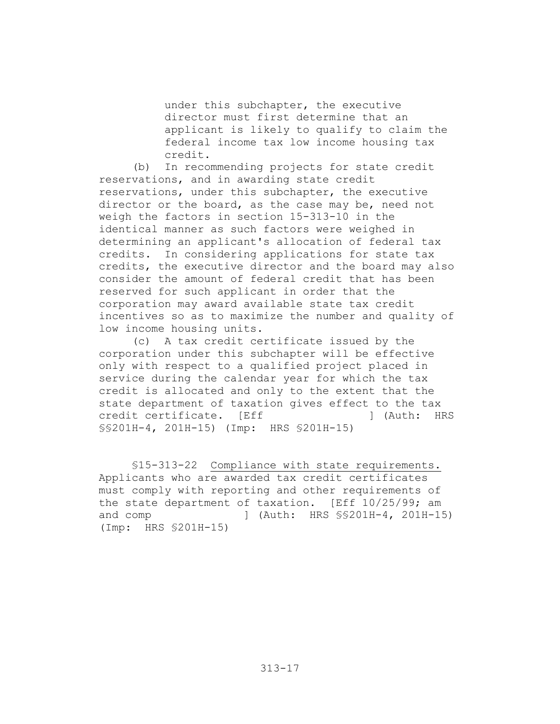under this subchapter, the executive director must first determine that an applicant is likely to qualify to claim the federal income tax low income housing tax credit.

In recommending projects for state credit  $(b)$ reservations, and in awarding state credit reservations, under this subchapter, the executive director or the board, as the case may be, need not weigh the factors in section 15-313-10 in the identical manner as such factors were weighed in determining an applicant's allocation of federal tax credits. In considering applications for state tax credits, the executive director and the board may also consider the amount of federal credit that has been reserved for such applicant in order that the corporation may award available state tax credit incentives so as to maximize the number and quality of low income housing units.

(c) A tax credit certificate issued by the corporation under this subchapter will be effective only with respect to a qualified project placed in service during the calendar year for which the tax credit is allocated and only to the extent that the state department of taxation gives effect to the tax credit certificate. [Eff 1 (Auth: HRS \$\$201H-4, 201H-15) (Imp: HRS \$201H-15)

\$15-313-22 Compliance with state requirements. Applicants who are awarded tax credit certificates must comply with reporting and other requirements of the state department of taxation. [Eff 10/25/99; am 1 (Auth: HRS SS201H-4, 201H-15) and comp (Imp: HRS \$201H-15)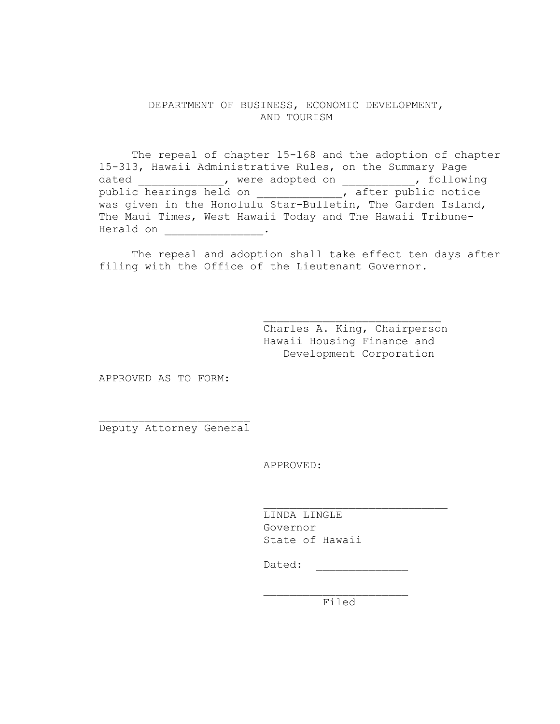# DEPARTMENT OF BUSINESS, ECONOMIC DEVELOPMENT, AND TOURISM

The repeal of chapter 15-168 and the adoption of chapter 15-313, Hawaii Administrative Rules, on the Summary Page dated \_\_\_\_\_\_\_\_\_\_\_\_\_\_, were adopted on \_\_\_\_\_\_\_\_\_\_\_, following public hearings held on \_\_\_\_\_\_\_\_\_\_\_\_\_, after public notice was given in the Honolulu Star-Bulletin, The Garden Island, The Maui Times, West Hawaii Today and The Hawaii Tribune-

The repeal and adoption shall take effect ten days after filing with the Office of the Lieutenant Governor.

> Charles A. King, Chairperson Hawaii Housing Finance and Development Corporation

APPROVED AS TO FORM:

Deputy Attorney General

APPROVED:

LINDA LINGLE Governor State of Hawaii

Dated: <u>\_\_\_\_\_</u>

Filed